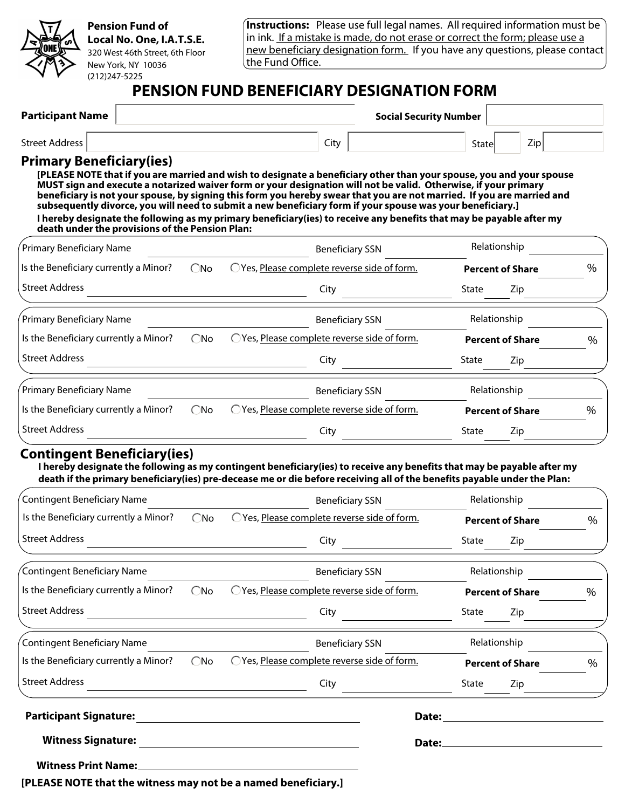

#### **Pension Fund of Local No. One, I.A.T.S.E.** 320 West 46th Street, 6th Floor New York, NY 10036

**Instructions:** Please use full legal names. All required information must be in ink. If a mistake is made, do not erase or correct the form; please use a new beneficiary designation form. If you have any questions, please contact the Fund Office.

## **PENSION FUND BENEFICIARY DESIGNATION FORM**

| <b>Participant Name</b>  | <b>Social Security Number</b> |              |  |
|--------------------------|-------------------------------|--------------|--|
| Street Address           | Citv                          | Zip<br>State |  |
| Drimary Ranaficiary/iac) |                               |              |  |

#### **Primary Beneficiary(ies)**

(212)247-5225

**[PLEASE NOTE that if you are married and wish to designate a beneficiary other than your spouse, you and your spouse MUST sign and execute a notarized waiver form or your designation will not be valid. Otherwise, if your primary beneficiary is not your spouse, by signing this form you hereby swear that you are not married. If you are married and subsequently divorce, you will need to submit a new beneficiary form if your spouse was your beneficiary.] I hereby designate the following as my primary beneficiary(ies) to receive any benefits that may be payable after my death under the provisions of the Pension Plan:** 

| Primary Beneficiary Name              |               | <b>Beneficiary SSN</b>                     |       | Relationship            |      |
|---------------------------------------|---------------|--------------------------------------------|-------|-------------------------|------|
| Is the Beneficiary currently a Minor? | $\bigcirc$ No | Yes, Please complete reverse side of form. |       | <b>Percent of Share</b> | $\%$ |
| <b>Street Address</b>                 |               | City                                       | State | Zip                     |      |
| Primary Beneficiary Name              |               | <b>Beneficiary SSN</b>                     |       | Relationship            |      |
| Is the Beneficiary currently a Minor? | $\bigcirc$ No | Yes, Please complete reverse side of form. |       | <b>Percent of Share</b> | $\%$ |
| <b>Street Address</b>                 |               | City                                       | State | Zip                     |      |
| Primary Beneficiary Name              |               | <b>Beneficiary SSN</b>                     |       | Relationship            |      |
| Is the Beneficiary currently a Minor? | $\bigcirc$ No | Yes, Please complete reverse side of form. |       | <b>Percent of Share</b> | %    |
| <b>Street Address</b>                 |               | City                                       | State | Zip                     |      |

### **Contingent Beneficiary(ies)**

**I hereby designate the following as my contingent beneficiary(ies) to receive any benefits that may be payable after my death if the primary beneficiary(ies) pre-decease me or die before receiving all of the benefits payable under the Plan:** 

| <b>Contingent Beneficiary Name</b>    |               | <b>Beneficiary SSN</b>                       | Relationship            |      |
|---------------------------------------|---------------|----------------------------------------------|-------------------------|------|
| Is the Beneficiary currently a Minor? | $\bigcirc$ No | OYes, Please complete reverse side of form.  | <b>Percent of Share</b> | $\%$ |
| <b>Street Address</b>                 |               | City                                         | State<br>Zip            |      |
| Contingent Beneficiary Name           |               | <b>Beneficiary SSN</b>                       | Relationship            |      |
| Is the Beneficiary currently a Minor? | $\bigcirc$ No | O Yes, Please complete reverse side of form. | <b>Percent of Share</b> | $\%$ |
| <b>Street Address</b>                 |               | City                                         | State<br>Zip            |      |
| Contingent Beneficiary Name           |               | <b>Beneficiary SSN</b>                       | Relationship            |      |
| Is the Beneficiary currently a Minor? | $\bigcirc$ No | O Yes, Please complete reverse side of form. | <b>Percent of Share</b> | $\%$ |
| <b>Street Address</b>                 |               | City                                         | State<br>Zip            |      |
| <b>Participant Signature:</b>         |               |                                              |                         |      |
| <b>Witness Signature:</b>             |               | Date:                                        |                         |      |
| <b>Witness Print Name:</b>            |               |                                              |                         |      |

**[PLEASE NOTE that the witness may not be a named beneficiary.]**